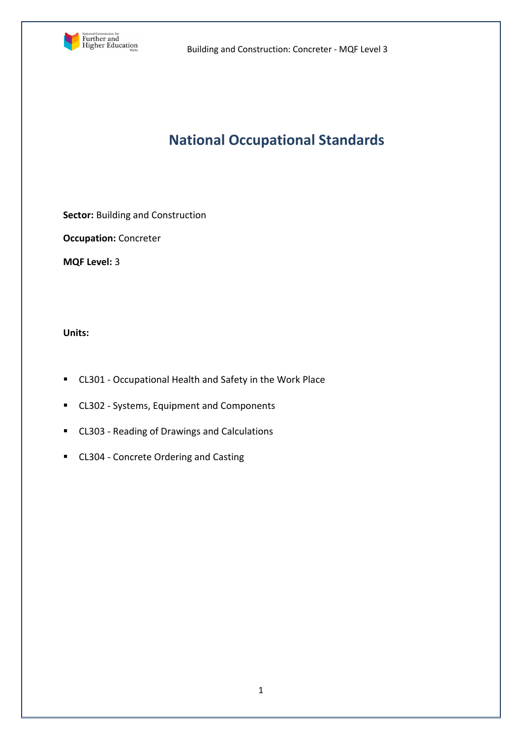

# **National Occupational Standards**

**Sector:** Building and Construction

**Occupation:** Concreter

**MQF Level:** 3

**Units:** 

- CL301 Occupational Health and Safety in the Work Place
- CL302 Systems, Equipment and Components
- CL303 Reading of Drawings and Calculations
- CL304 Concrete Ordering and Casting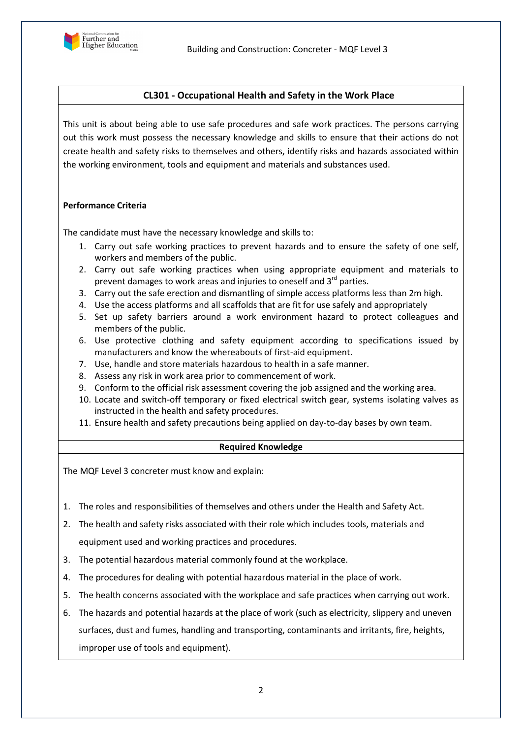

# **CL301 - Occupational Health and Safety in the Work Place**

This unit is about being able to use safe procedures and safe work practices. The persons carrying out this work must possess the necessary knowledge and skills to ensure that their actions do not create health and safety risks to themselves and others, identify risks and hazards associated within the working environment, tools and equipment and materials and substances used.

# **Performance Criteria**

The candidate must have the necessary knowledge and skills to:

- 1. Carry out safe working practices to prevent hazards and to ensure the safety of one self, workers and members of the public.
- 2. Carry out safe working practices when using appropriate equipment and materials to prevent damages to work areas and injuries to oneself and  $3^{rd}$  parties.
- 3. Carry out the safe erection and dismantling of simple access platforms less than 2m high.
- 4. Use the access platforms and all scaffolds that are fit for use safely and appropriately
- 5. Set up safety barriers around a work environment hazard to protect colleagues and members of the public.
- 6. Use protective clothing and safety equipment according to specifications issued by manufacturers and know the whereabouts of first-aid equipment.
- 7. Use, handle and store materials hazardous to health in a safe manner.
- 8. Assess any risk in work area prior to commencement of work.
- 9. Conform to the official risk assessment covering the job assigned and the working area.
- 10. Locate and switch-off temporary or fixed electrical switch gear, systems isolating valves as instructed in the health and safety procedures.
- 11. Ensure health and safety precautions being applied on day-to-day bases by own team.

# **Required Knowledge**

The MQF Level 3 concreter must know and explain:

- 1. The roles and responsibilities of themselves and others under the Health and Safety Act.
- 2. The health and safety risks associated with their role which includes tools, materials and equipment used and working practices and procedures.
- 3. The potential hazardous material commonly found at the workplace.
- 4. The procedures for dealing with potential hazardous material in the place of work.
- 5. The health concerns associated with the workplace and safe practices when carrying out work.
- 6. The hazards and potential hazards at the place of work (such as electricity, slippery and uneven surfaces, dust and fumes, handling and transporting, contaminants and irritants, fire, heights, improper use of tools and equipment).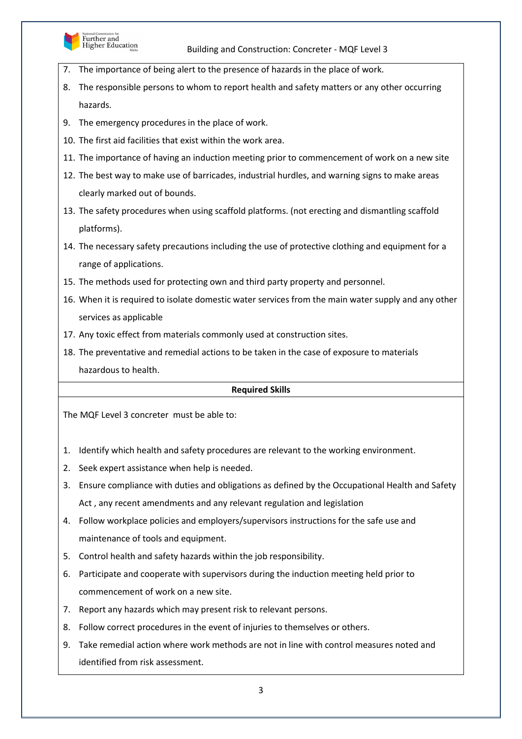

- 7. The importance of being alert to the presence of hazards in the place of work.
- 8. The responsible persons to whom to report health and safety matters or any other occurring hazards.
- 9. The emergency procedures in the place of work.
- 10. The first aid facilities that exist within the work area.
- 11. The importance of having an induction meeting prior to commencement of work on a new site
- 12. The best way to make use of barricades, industrial hurdles, and warning signs to make areas clearly marked out of bounds.
- 13. The safety procedures when using scaffold platforms. (not erecting and dismantling scaffold platforms).
- 14. The necessary safety precautions including the use of protective clothing and equipment for a range of applications.
- 15. The methods used for protecting own and third party property and personnel.
- 16. When it is required to isolate domestic water services from the main water supply and any other services as applicable
- 17. Any toxic effect from materials commonly used at construction sites.
- 18. The preventative and remedial actions to be taken in the case of exposure to materials hazardous to health.

# **Required Skills**

- 1. Identify which health and safety procedures are relevant to the working environment.
- 2. Seek expert assistance when help is needed.
- 3. Ensure compliance with duties and obligations as defined by the Occupational Health and Safety Act , any recent amendments and any relevant regulation and legislation
- 4. Follow workplace policies and employers/supervisors instructions for the safe use and maintenance of tools and equipment.
- 5. Control health and safety hazards within the job responsibility.
- 6. Participate and cooperate with supervisors during the induction meeting held prior to commencement of work on a new site.
- 7. Report any hazards which may present risk to relevant persons.
- 8. Follow correct procedures in the event of injuries to themselves or others.
- 9. Take remedial action where work methods are not in line with control measures noted and identified from risk assessment.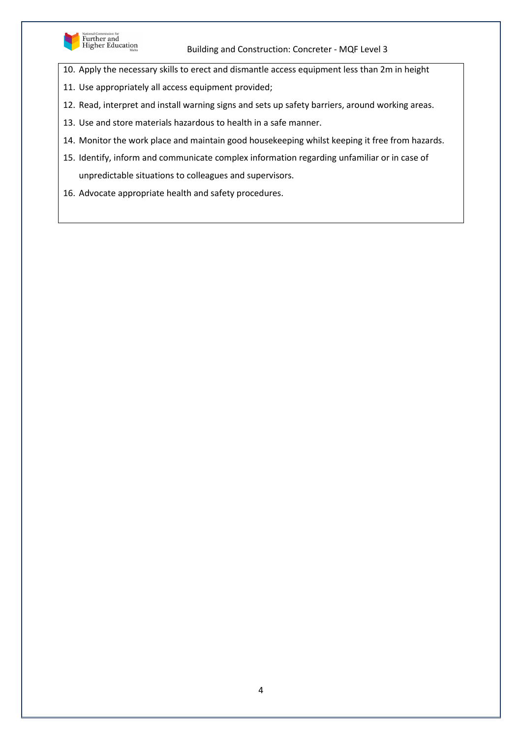

- 10. Apply the necessary skills to erect and dismantle access equipment less than 2m in height
- 11. Use appropriately all access equipment provided;
- 12. Read, interpret and install warning signs and sets up safety barriers, around working areas.
- 13. Use and store materials hazardous to health in a safe manner.
- 14. Monitor the work place and maintain good housekeeping whilst keeping it free from hazards.
- 15. Identify, inform and communicate complex information regarding unfamiliar or in case of unpredictable situations to colleagues and supervisors.
- 16. Advocate appropriate health and safety procedures.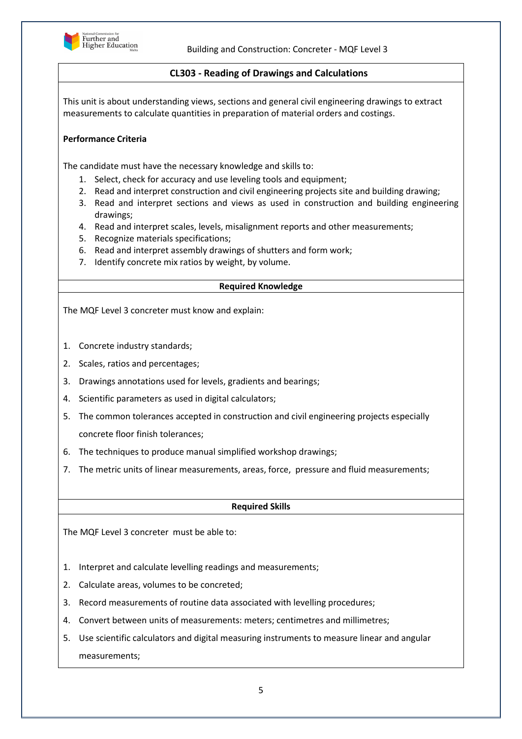

# **CL303 - Reading of Drawings and Calculations**

This unit is about understanding views, sections and general civil engineering drawings to extract measurements to calculate quantities in preparation of material orders and costings.

# **Performance Criteria**

The candidate must have the necessary knowledge and skills to:

- 1. Select, check for accuracy and use leveling tools and equipment;
- 2. Read and interpret construction and civil engineering projects site and building drawing;
- 3. Read and interpret sections and views as used in construction and building engineering drawings;
- 4. Read and interpret scales, levels, misalignment reports and other measurements;
- 5. Recognize materials specifications;
- 6. Read and interpret assembly drawings of shutters and form work;
- 7. Identify concrete mix ratios by weight, by volume.

#### **Required Knowledge**

The MQF Level 3 concreter must know and explain:

- 1. Concrete industry standards;
- 2. Scales, ratios and percentages;
- 3. Drawings annotations used for levels, gradients and bearings;
- 4. Scientific parameters as used in digital calculators;
- 5. The common tolerances accepted in construction and civil engineering projects especially concrete floor finish tolerances;
- 6. The techniques to produce manual simplified workshop drawings;
- 7. The metric units of linear measurements, areas, force, pressure and fluid measurements;

#### **Required Skills**

- 1. Interpret and calculate levelling readings and measurements;
- 2. Calculate areas, volumes to be concreted;
- 3. Record measurements of routine data associated with levelling procedures;
- 4. Convert between units of measurements: meters; centimetres and millimetres;
- 5. Use scientific calculators and digital measuring instruments to measure linear and angular measurements;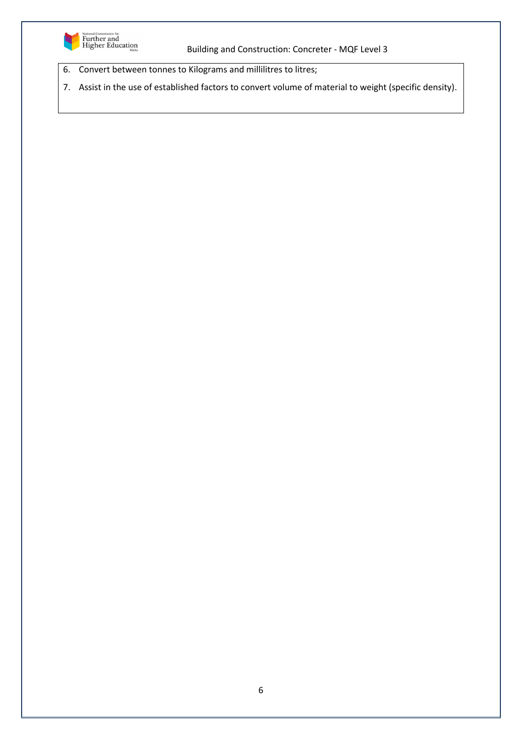

- 6. Convert between tonnes to Kilograms and millilitres to litres;
- 7. Assist in the use of established factors to convert volume of material to weight (specific density).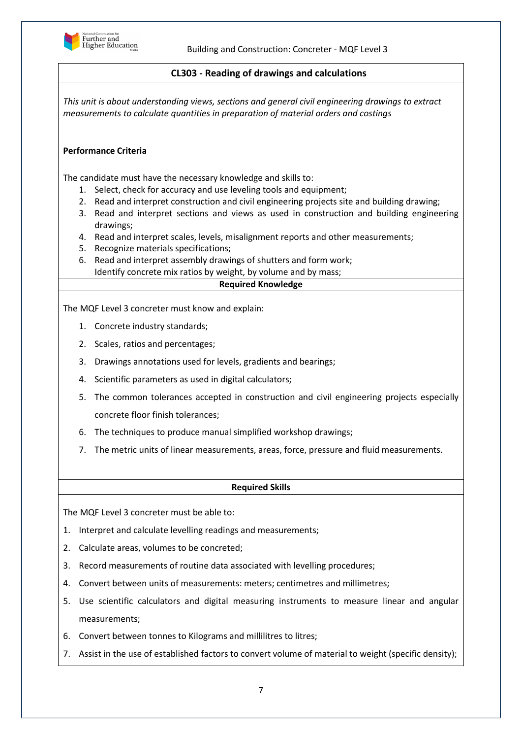

# **CL303 - Reading of drawings and calculations**

*This unit is about understanding views, sections and general civil engineering drawings to extract measurements to calculate quantities in preparation of material orders and costings*

### **Performance Criteria**

The candidate must have the necessary knowledge and skills to:

- 1. Select, check for accuracy and use leveling tools and equipment;
- 2. Read and interpret construction and civil engineering projects site and building drawing;
- 3. Read and interpret sections and views as used in construction and building engineering drawings;
- 4. Read and interpret scales, levels, misalignment reports and other measurements;
- 5. Recognize materials specifications;
- 6. Read and interpret assembly drawings of shutters and form work; Identify concrete mix ratios by weight, by volume and by mass;

#### **Required Knowledge**

The MQF Level 3 concreter must know and explain:

- 1. Concrete industry standards;
- 2. Scales, ratios and percentages;
- 3. Drawings annotations used for levels, gradients and bearings;
- 4. Scientific parameters as used in digital calculators;
- 5. The common tolerances accepted in construction and civil engineering projects especially concrete floor finish tolerances;
- 6. The techniques to produce manual simplified workshop drawings;
- 7. The metric units of linear measurements, areas, force, pressure and fluid measurements.

#### **Required Skills**

- 1. Interpret and calculate levelling readings and measurements;
- 2. Calculate areas, volumes to be concreted;
- 3. Record measurements of routine data associated with levelling procedures;
- 4. Convert between units of measurements: meters; centimetres and millimetres;
- 5. Use scientific calculators and digital measuring instruments to measure linear and angular measurements;
- 6. Convert between tonnes to Kilograms and millilitres to litres;
- 7. Assist in the use of established factors to convert volume of material to weight (specific density);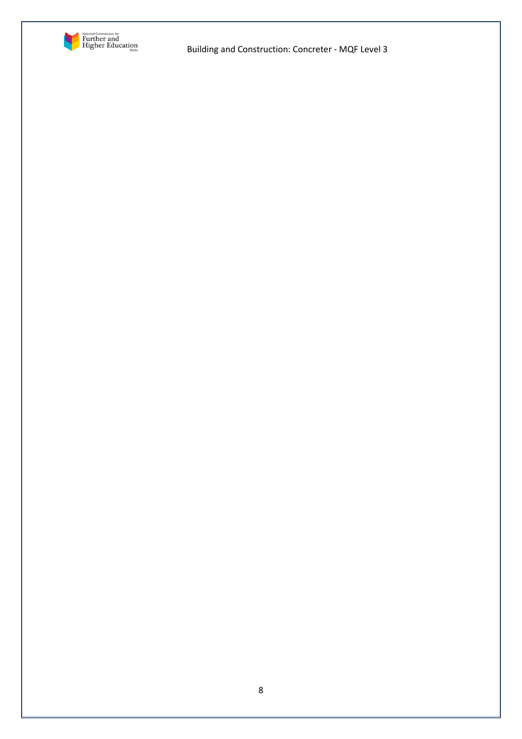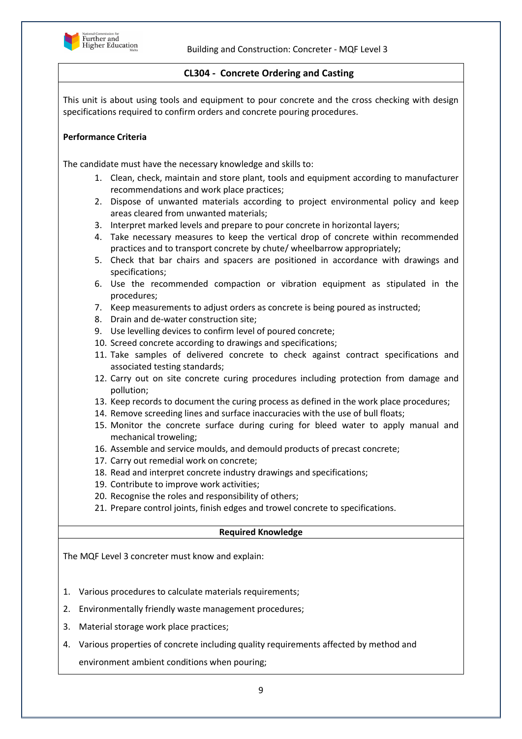

# **CL304 - Concrete Ordering and Casting**

This unit is about using tools and equipment to pour concrete and the cross checking with design specifications required to confirm orders and concrete pouring procedures.

# **Performance Criteria**

The candidate must have the necessary knowledge and skills to:

- 1. Clean, check, maintain and store plant, tools and equipment according to manufacturer recommendations and work place practices;
- 2. Dispose of unwanted materials according to project environmental policy and keep areas cleared from unwanted materials;
- 3. Interpret marked levels and prepare to pour concrete in horizontal layers;
- 4. Take necessary measures to keep the vertical drop of concrete within recommended practices and to transport concrete by chute/ wheelbarrow appropriately;
- 5. Check that bar chairs and spacers are positioned in accordance with drawings and specifications;
- 6. Use the recommended compaction or vibration equipment as stipulated in the procedures;
- 7. Keep measurements to adjust orders as concrete is being poured as instructed;
- 8. Drain and de-water construction site;
- 9. Use levelling devices to confirm level of poured concrete;
- 10. Screed concrete according to drawings and specifications;
- 11. Take samples of delivered concrete to check against contract specifications and associated testing standards;
- 12. Carry out on site concrete curing procedures including protection from damage and pollution;
- 13. Keep records to document the curing process as defined in the work place procedures;
- 14. Remove screeding lines and surface inaccuracies with the use of bull floats;
- 15. Monitor the concrete surface during curing for bleed water to apply manual and mechanical troweling;
- 16. Assemble and service moulds, and demould products of precast concrete;
- 17. Carry out remedial work on concrete;
- 18. Read and interpret concrete industry drawings and specifications;
- 19. Contribute to improve work activities;
- 20. Recognise the roles and responsibility of others;
- 21. Prepare control joints, finish edges and trowel concrete to specifications.

# **Required Knowledge**

The MQF Level 3 concreter must know and explain:

- 1. Various procedures to calculate materials requirements;
- 2. Environmentally friendly waste management procedures;
- 3. Material storage work place practices;
- 4. Various properties of concrete including quality requirements affected by method and

environment ambient conditions when pouring;